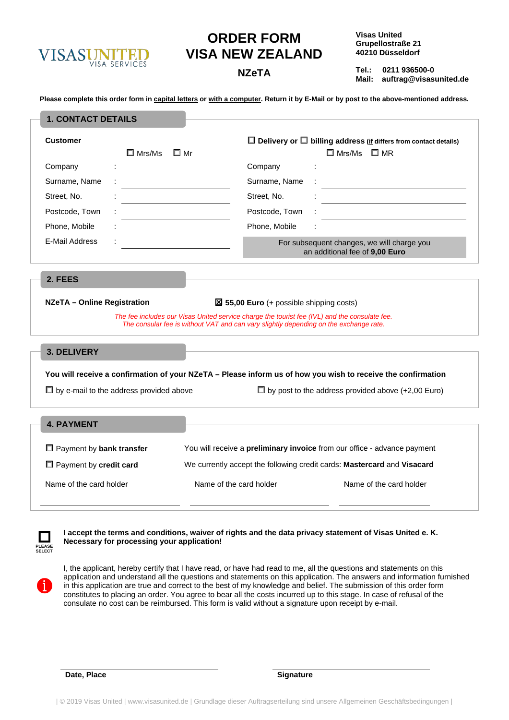

## **ORDER FORM VISA NEW ZEALAND**

**Visas United Grupellostraße 21 40210 Düsseldorf**

**Tel.: 0211 936500-0 Mail: auftrag@visasunited.de NZeTA**

**Please complete this order form in capital letters or with a computer. Return it by E-Mail or by post to the above-mentioned address.**

| <b>1. CONTACT DETAILS</b>          |                                                |                                                                                               |                                                                                                              |  |  |
|------------------------------------|------------------------------------------------|-----------------------------------------------------------------------------------------------|--------------------------------------------------------------------------------------------------------------|--|--|
| <b>Customer</b>                    |                                                | $\Box$ Delivery or $\Box$ billing address (if differs from contact details)                   |                                                                                                              |  |  |
|                                    | $\square$ Mrs/Ms                               | $\square$ Mr                                                                                  | $\Box$ Mrs/Ms $\Box$ MR                                                                                      |  |  |
| Company                            |                                                | Company                                                                                       |                                                                                                              |  |  |
| Surname, Name                      |                                                | Surname, Name                                                                                 |                                                                                                              |  |  |
| Street, No.                        |                                                | Street, No.                                                                                   |                                                                                                              |  |  |
| Postcode, Town                     |                                                | Postcode, Town                                                                                |                                                                                                              |  |  |
| Phone, Mobile                      |                                                | Phone, Mobile                                                                                 |                                                                                                              |  |  |
| <b>E-Mail Address</b>              |                                                |                                                                                               | For subsequent changes, we will charge you<br>an additional fee of 9,00 Euro                                 |  |  |
| 2. FEES                            |                                                |                                                                                               |                                                                                                              |  |  |
| <b>NZeTA - Online Registration</b> |                                                | $\boxtimes$ 55,00 Euro (+ possible shipping costs)                                            |                                                                                                              |  |  |
|                                    |                                                | The fee includes our Visas United service charge the tourist fee (IVL) and the consulate fee. |                                                                                                              |  |  |
|                                    |                                                | The consular fee is without VAT and can vary slightly depending on the exchange rate.         |                                                                                                              |  |  |
| 3. DELIVERY                        |                                                |                                                                                               |                                                                                                              |  |  |
|                                    |                                                |                                                                                               |                                                                                                              |  |  |
|                                    |                                                |                                                                                               | You will receive a confirmation of your NZeTA - Please inform us of how you wish to receive the confirmation |  |  |
|                                    | $\Box$ by e-mail to the address provided above |                                                                                               | $\Box$ by post to the address provided above (+2,00 Euro)                                                    |  |  |
| <b>4. PAYMENT</b>                  |                                                |                                                                                               |                                                                                                              |  |  |
|                                    |                                                |                                                                                               |                                                                                                              |  |  |
| $\Box$ Payment by bank transfer    |                                                | You will receive a preliminary invoice from our office - advance payment                      |                                                                                                              |  |  |
| $\Box$ Payment by credit card      |                                                |                                                                                               | We currently accept the following credit cards: Mastercard and Visacard                                      |  |  |
| Name of the card holder            |                                                | Name of the card holder                                                                       | Name of the card holder                                                                                      |  |  |

**PLEASE SELECT** 

 **I accept the terms and conditions, waiver of rights and the data privacy statement of Visas United e. K. Necessary for processing your application!** 



I, the applicant, hereby certify that I have read, or have had read to me, all the questions and statements on this application and understand all the questions and statements on this application. The answers and information furnished in this application are true and correct to the best of my knowledge and belief. The submission of this order form constitutes to placing an order. You agree to bear all the costs incurred up to this stage. In case of refusal of the consulate no cost can be reimbursed. This form is valid without a signature upon receipt by e-mail.

**Date, Place Signature**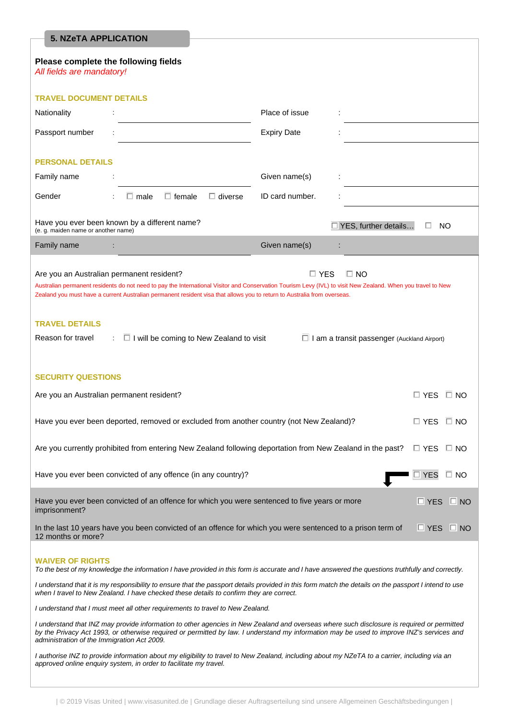| <b>5. NZeTA APPLICATION</b>                                                                                                                                                                                                                                                                                                                                                                                                                                                                                                                               |                    |   |  |  |  |  |
|-----------------------------------------------------------------------------------------------------------------------------------------------------------------------------------------------------------------------------------------------------------------------------------------------------------------------------------------------------------------------------------------------------------------------------------------------------------------------------------------------------------------------------------------------------------|--------------------|---|--|--|--|--|
| Please complete the following fields<br>All fields are mandatory!                                                                                                                                                                                                                                                                                                                                                                                                                                                                                         |                    |   |  |  |  |  |
| <b>TRAVEL DOCUMENT DETAILS</b>                                                                                                                                                                                                                                                                                                                                                                                                                                                                                                                            |                    |   |  |  |  |  |
| Nationality                                                                                                                                                                                                                                                                                                                                                                                                                                                                                                                                               | Place of issue     |   |  |  |  |  |
| Passport number                                                                                                                                                                                                                                                                                                                                                                                                                                                                                                                                           | <b>Expiry Date</b> |   |  |  |  |  |
| <b>PERSONAL DETAILS</b>                                                                                                                                                                                                                                                                                                                                                                                                                                                                                                                                   |                    |   |  |  |  |  |
| Family name                                                                                                                                                                                                                                                                                                                                                                                                                                                                                                                                               | Given name(s)      | ÷ |  |  |  |  |
| Gender<br>$\Box$ female<br>$\Box$ diverse<br>$\Box$ male                                                                                                                                                                                                                                                                                                                                                                                                                                                                                                  | ID card number.    |   |  |  |  |  |
| Have you ever been known by a different name?<br>$\Box$ YES, further details<br>NO.<br>(e. q. maiden name or another name)                                                                                                                                                                                                                                                                                                                                                                                                                                |                    |   |  |  |  |  |
| Family name                                                                                                                                                                                                                                                                                                                                                                                                                                                                                                                                               | Given name(s)      |   |  |  |  |  |
| Are you an Australian permanent resident?<br>$\Box$ YES<br>$\square$ NO<br>Australian permanent residents do not need to pay the International Visitor and Conservation Tourism Levy (IVL) to visit New Zealand. When you travel to New<br>Zealand you must have a current Australian permanent resident visa that allows you to return to Australia from overseas.<br><b>TRAVEL DETAILS</b><br>Reason for travel<br>$\Box$ I will be coming to New Zealand to visit<br>$\Box$ I am a transit passenger (Auckland Airport)<br>$\mathcal{L}_{\mathcal{A}}$ |                    |   |  |  |  |  |
| <b>SECURITY QUESTIONS</b>                                                                                                                                                                                                                                                                                                                                                                                                                                                                                                                                 |                    |   |  |  |  |  |
| Are you an Australian permanent resident?<br>□ YES<br>$\Box$ No                                                                                                                                                                                                                                                                                                                                                                                                                                                                                           |                    |   |  |  |  |  |
| Have you ever been deported, removed or excluded from another country (not New Zealand)?<br>$\square$ YES<br>$\square$ NO                                                                                                                                                                                                                                                                                                                                                                                                                                 |                    |   |  |  |  |  |
| Are you currently prohibited from entering New Zealand following deportation from New Zealand in the past?<br>$\Box$ YES<br>$\square$ NO                                                                                                                                                                                                                                                                                                                                                                                                                  |                    |   |  |  |  |  |
| Have you ever been convicted of any offence (in any country)?<br>$\Box$ YES<br>$\Box$ No                                                                                                                                                                                                                                                                                                                                                                                                                                                                  |                    |   |  |  |  |  |
| Have you ever been convicted of an offence for which you were sentenced to five years or more<br>$\Box$ NO<br>□ YES<br>imprisonment?                                                                                                                                                                                                                                                                                                                                                                                                                      |                    |   |  |  |  |  |
| In the last 10 years have you been convicted of an offence for which you were sentenced to a prison term of<br>$\Box$ YES $\Box$ NO<br>12 months or more?                                                                                                                                                                                                                                                                                                                                                                                                 |                    |   |  |  |  |  |
| <b>WAIVER OF RIGHTS</b><br>To the best of my knowledge the information I have provided in this form is accurate and I have answered the questions truthfully and correctly.<br>I understand that it is my responsibility to ensure that the passport details provided in this form match the details on the passport I intend to use<br>when I travel to New Zealand. I have checked these details to confirm they are correct.<br>I understand that I must meet all other requirements to travel to New Zealand.                                         |                    |   |  |  |  |  |
| I understand that INZ may provide information to other agencies in New Zealand and overseas where such disclosure is required or permitted<br>by the Privacy Act 1993, or otherwise required or permitted by law. I understand my information may be used to improve INZ's services and<br>administration of the Immigration Act 2009.                                                                                                                                                                                                                    |                    |   |  |  |  |  |
| I authorise INZ to provide information about my eligibility to travel to New Zealand, including about my NZeTA to a carrier, including via an<br>approved online enquiry system, in order to facilitate my travel.                                                                                                                                                                                                                                                                                                                                        |                    |   |  |  |  |  |